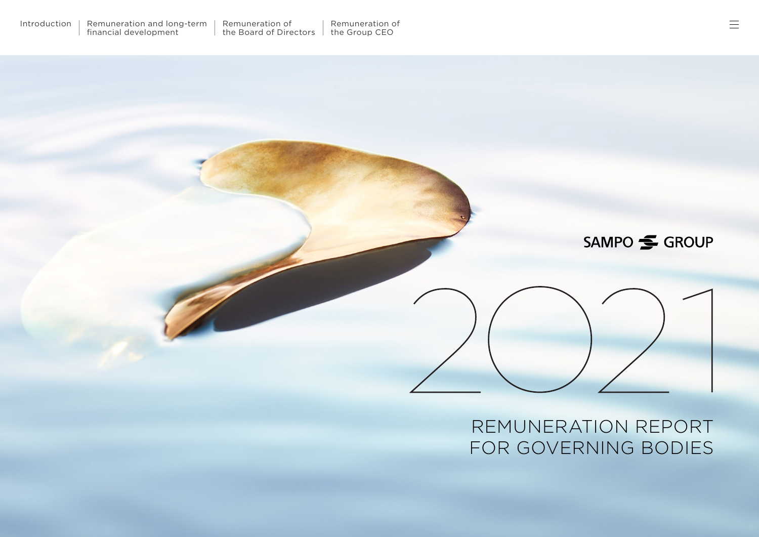## SAMPO SAMPO

## REMUNERATION REPORT FOR GOVERNING BODIES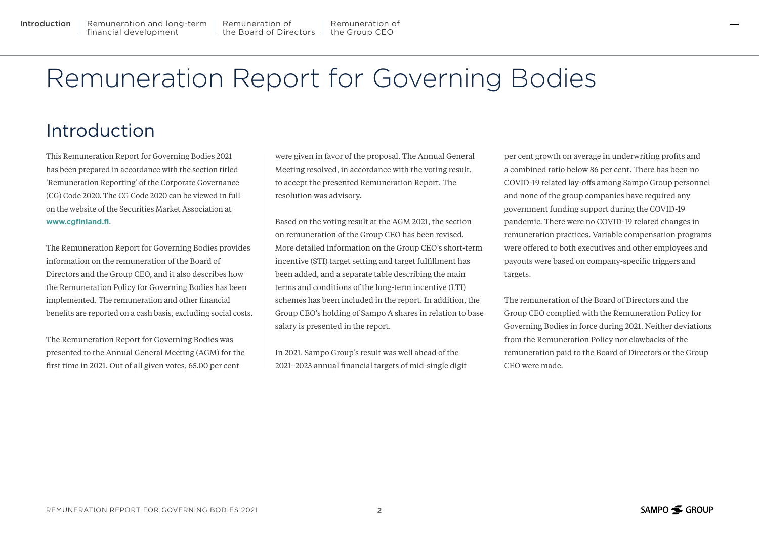# <span id="page-1-0"></span>Remuneration Report for Governing Bodies

## Introduction

This Remuneration Report for Governing Bodies 2021 has been prepared in accordance with the section titled 'Remuneration Reporting' of the Corporate Governance (CG) Code 2020. The CG Code 2020 can be viewed in full on the website of the Securities Market Association at **[www.cgfinland.fi](https://cgfinland.fi/en/)**.

The Remuneration Report for Governing Bodies provides information on the remuneration of the Board of Directors and the Group CEO, and it also describes how the Remuneration Policy for Governing Bodies has been implemented. The remuneration and other financial benefits are reported on a cash basis, excluding social costs.

The Remuneration Report for Governing Bodies was presented to the Annual General Meeting (AGM) for the first time in 2021. Out of all given votes, 65.00 per cent

were given in favor of the proposal. The Annual General Meeting resolved, in accordance with the voting result, to accept the presented Remuneration Report. The resolution was advisory.

Based on the voting result at the AGM 2021, the section on remuneration of the Group CEO has been revised. More detailed information on the Group CEO's short-term incentive (STI) target setting and target fulfillment has been added, and a separate table describing the main terms and conditions of the long-term incentive (LTI) schemes has been included in the report. In addition, the Group CEO's holding of Sampo A shares in relation to base salary is presented in the report.

In 2021, Sampo Group's result was well ahead of the 2021–2023 annual financial targets of mid-single digit per cent growth on average in underwriting profits and a combined ratio below 86 per cent. There has been no COVID-19 related lay-offs among Sampo Group personnel and none of the group companies have required any government funding support during the COVID-19 pandemic. There were no COVID-19 related changes in remuneration practices. Variable compensation programs were offered to both executives and other employees and payouts were based on company-specific triggers and targets.

The remuneration of the Board of Directors and the Group CEO complied with the Remuneration Policy for Governing Bodies in force during 2021. Neither deviations from the Remuneration Policy nor clawbacks of the remuneration paid to the Board of Directors or the Group CEO were made.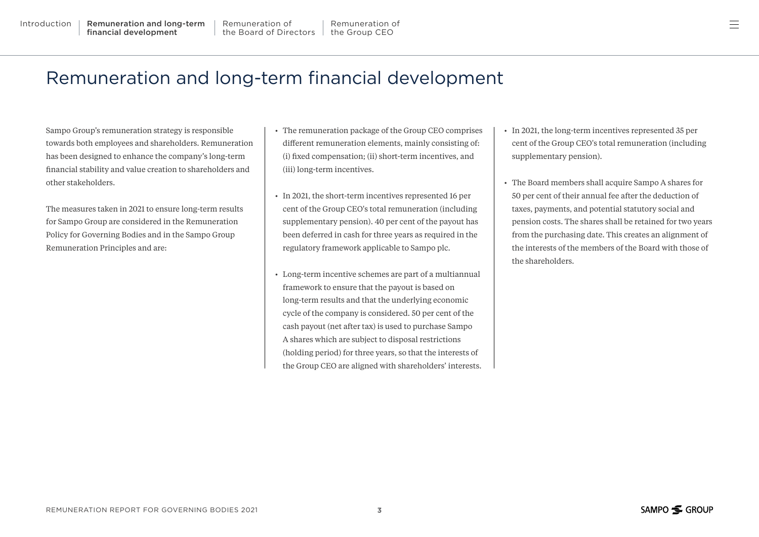$=$ 

## <span id="page-2-0"></span>Remuneration and long-term financial development

Sampo Group's remuneration strategy is responsible towards both employees and shareholders. Remuneration has been designed to enhance the company's long-term financial stability and value creation to shareholders and other stakeholders.

The measures taken in 2021 to ensure long-term results for Sampo Group are considered in the Remuneration Policy for Governing Bodies and in the Sampo Group Remuneration Principles and are:

- The remuneration package of the Group CEO comprises different remuneration elements, mainly consisting of: (i) fixed compensation; (ii) short-term incentives, and (iii) long-term incentives.
- In 2021, the short-term incentives represented 16 per cent of the Group CEO's total remuneration (including supplementary pension). 40 per cent of the payout has been deferred in cash for three years as required in the regulatory framework applicable to Sampo plc.
- Long-term incentive schemes are part of a multiannual framework to ensure that the payout is based on long-term results and that the underlying economic cycle of the company is considered. 50 per cent of the cash payout (net after tax) is used to purchase Sampo A shares which are subject to disposal restrictions (holding period) for three years, so that the interests of the Group CEO are aligned with shareholders' interests.
- In 2021, the long-term incentives represented 35 per cent of the Group CEO's total remuneration (including supplementary pension).
- The Board members shall acquire Sampo A shares for 50 per cent of their annual fee after the deduction of taxes, payments, and potential statutory social and pension costs. The shares shall be retained for two years from the purchasing date. This creates an alignment of the interests of the members of the Board with those of the shareholders.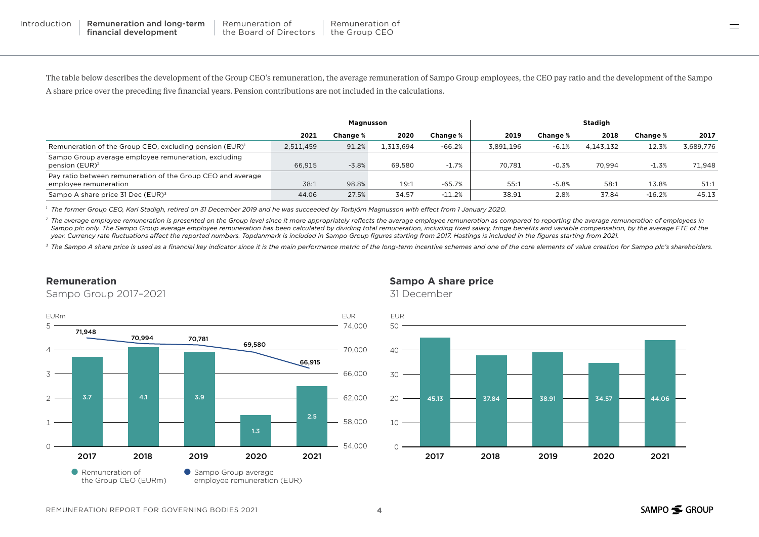三

The table below describes the development of the Group CEO's remuneration, the average remuneration of Sampo Group employees, the CEO pay ratio and the development of the Sampo A share price over the preceding five financial years. Pension contributions are not included in the calculations.

|                                                                                      | Magnusson |          |          |          | Stadigh   |                 |           |          |           |
|--------------------------------------------------------------------------------------|-----------|----------|----------|----------|-----------|-----------------|-----------|----------|-----------|
|                                                                                      | 2021      | Change % | 2020     | Change % | 2019      | <b>Change</b> % | 2018      | Change % | 2017      |
| Remuneration of the Group CEO, excluding pension (EUR) <sup>1</sup>                  | 2.511.459 | 91.2%    | .313.694 | $-66.2%$ | 3.891.196 | $-6.1%$         | 4,143,132 | 12.3%    | 3,689,776 |
| Sampo Group average employee remuneration, excluding<br>pension (EUR) <sup>2</sup>   | 66,915    | $-3.8%$  | 69.580   | $-1.7%$  | 70.781    | $-0.3%$         | 70,994    | $-1.3%$  | 71.948    |
| Pay ratio between remuneration of the Group CEO and average<br>employee remuneration | 38:1      | 98.8%    | 19:1     | $-65.7%$ | 55:1      | $-5.8%$         | 58:1      | 13.8%    | 51:1      |
| Sampo A share price 31 Dec (EUR) <sup>3</sup>                                        | 44.06     | 27.5%    | 34.57    | $-11.2%$ | 38.91     | 2.8%            | 37.84     | $-16.2%$ | 45.13     |

*<sup>1</sup> The former Group CEO, Kari Stadigh, retired on 31 December 2019 and he was succeeded by Torbjörn Magnusson with effect from 1 January 2020.*

<sup>2</sup> The average employee remuneration is presented on the Group level since it more appropriately reflects the average employee remuneration as compared to reporting the average remuneration of employees in Sampo plc only. The Sampo Group average employee remuneration has been calculated by dividing total remuneration, including fixed salary, fringe benefits and variable compensation, by the average FTE of the *year. Currency rate fluctuations affect the reported numbers. Topdanmark is included in Sampo Group figures starting from 2017. Hastings is included in the figures starting from 2021.*

3 The Sampo A share price is used as a financial key indicator since it is the main performance metric of the long-term incentive schemes and one of the core elements of value creation for Sampo plc's shareholders.

### **Remuneration**

Sampo Group 2017–2021



### **Sampo A share price**

31 December

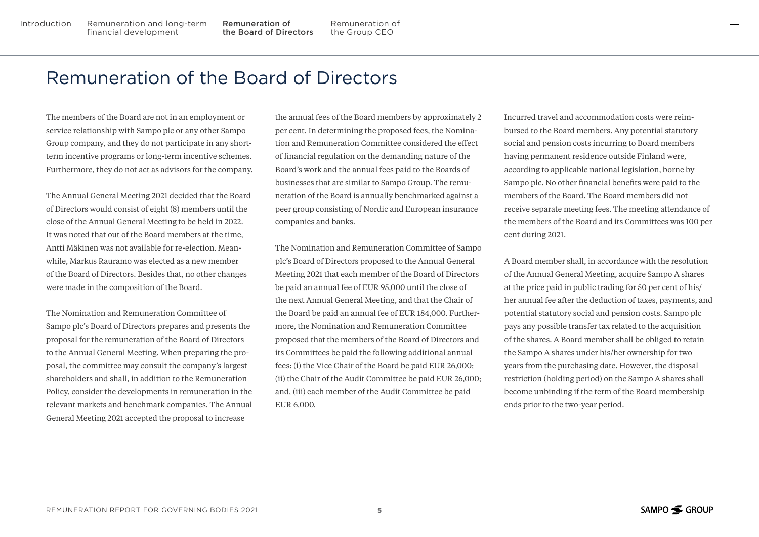## <span id="page-4-0"></span>Remuneration of the Board of Directors

The members of the Board are not in an employment or service relationship with Sampo plc or any other Sampo Group company, and they do not participate in any shortterm incentive programs or long-term incentive schemes. Furthermore, they do not act as advisors for the company.

The Annual General Meeting 2021 decided that the Board of Directors would consist of eight (8) members until the close of the Annual General Meeting to be held in 2022. It was noted that out of the Board members at the time, Antti Mäkinen was not available for re-election. Meanwhile, Markus Rauramo was elected as a new member of the Board of Directors. Besides that, no other changes were made in the composition of the Board.

The Nomination and Remuneration Committee of Sampo plc's Board of Directors prepares and presents the proposal for the remuneration of the Board of Directors to the Annual General Meeting. When preparing the proposal, the committee may consult the company's largest shareholders and shall, in addition to the Remuneration Policy, consider the developments in remuneration in the relevant markets and benchmark companies. The Annual General Meeting 2021 accepted the proposal to increase

the annual fees of the Board members by approximately 2 per cent. In determining the proposed fees, the Nomination and Remuneration Committee considered the effect of financial regulation on the demanding nature of the Board's work and the annual fees paid to the Boards of businesses that are similar to Sampo Group. The remuneration of the Board is annually benchmarked against a peer group consisting of Nordic and European insurance companies and banks.

The Nomination and Remuneration Committee of Sampo plc's Board of Directors proposed to the Annual General Meeting 2021 that each member of the Board of Directors be paid an annual fee of EUR 95,000 until the close of the next Annual General Meeting, and that the Chair of the Board be paid an annual fee of EUR 184,000. Furthermore, the Nomination and Remuneration Committee proposed that the members of the Board of Directors and its Committees be paid the following additional annual fees: (i) the Vice Chair of the Board be paid EUR 26,000; (ii) the Chair of the Audit Committee be paid EUR 26,000; and, (iii) each member of the Audit Committee be paid EUR 6,000.

Incurred travel and accommodation costs were reimbursed to the Board members. Any potential statutory social and pension costs incurring to Board members having permanent residence outside Finland were, according to applicable national legislation, borne by Sampo plc. No other financial benefits were paid to the members of the Board. The Board members did not receive separate meeting fees. The meeting attendance of the members of the Board and its Committees was 100 per cent during 2021.

A Board member shall, in accordance with the resolution of the Annual General Meeting, acquire Sampo A shares at the price paid in public trading for 50 per cent of his/ her annual fee after the deduction of taxes, payments, and potential statutory social and pension costs. Sampo plc pays any possible transfer tax related to the acquisition of the shares. A Board member shall be obliged to retain the Sampo A shares under his/her ownership for two years from the purchasing date. However, the disposal restriction (holding period) on the Sampo A shares shall become unbinding if the term of the Board membership ends prior to the two-year period.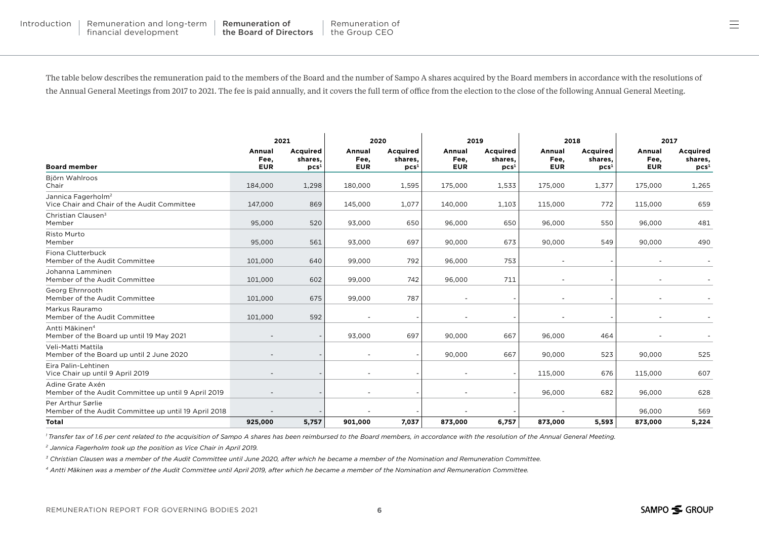The table below describes the remuneration paid to the members of the Board and the number of Sampo A shares acquired by the Board members in accordance with the resolutions of the Annual General Meetings from 2017 to 2021. The fee is paid annually, and it covers the full term of office from the election to the close of the following Annual General Meeting.

|                                                                               | 2021                         |                                         |                              | 2020                                           | 2019                         |                                         | 2018                         |                                         | 2017                         |                                         |
|-------------------------------------------------------------------------------|------------------------------|-----------------------------------------|------------------------------|------------------------------------------------|------------------------------|-----------------------------------------|------------------------------|-----------------------------------------|------------------------------|-----------------------------------------|
| <b>Board member</b>                                                           | Annual<br>Fee,<br><b>EUR</b> | Acquired<br>shares,<br>pcs <sup>1</sup> | Annual<br>Fee,<br><b>EUR</b> | <b>Acquired</b><br>shares.<br>pcs <sup>1</sup> | Annual<br>Fee,<br><b>EUR</b> | Acquired<br>shares,<br>pcs <sup>1</sup> | Annual<br>Fee,<br><b>EUR</b> | Acquired<br>shares,<br>pcs <sup>1</sup> | Annual<br>Fee,<br><b>EUR</b> | Acquired<br>shares,<br>pcs <sup>1</sup> |
| Björn Wahlroos<br>Chair                                                       | 184,000                      | 1,298                                   | 180,000                      | 1,595                                          | 175,000                      | 1,533                                   | 175,000                      | 1,377                                   | 175,000                      | 1,265                                   |
| Jannica Fagerholm <sup>2</sup><br>Vice Chair and Chair of the Audit Committee | 147,000                      | 869                                     | 145,000                      | 1,077                                          | 140,000                      | 1,103                                   | 115,000                      | 772                                     | 115,000                      | 659                                     |
| Christian Clausen <sup>3</sup><br>Member                                      | 95,000                       | 520                                     | 93,000                       | 650                                            | 96,000                       | 650                                     | 96,000                       | 550                                     | 96,000                       | 481                                     |
| Risto Murto<br>Member                                                         | 95,000                       | 561                                     | 93,000                       | 697                                            | 90,000                       | 673                                     | 90,000                       | 549                                     | 90,000                       | 490                                     |
| Fiona Clutterbuck<br>Member of the Audit Committee                            | 101,000                      | 640                                     | 99,000                       | 792                                            | 96.000                       | 753                                     | ۰                            |                                         |                              |                                         |
| Johanna Lamminen<br>Member of the Audit Committee                             | 101,000                      | 602                                     | 99,000                       | 742                                            | 96,000                       | 711                                     |                              |                                         |                              |                                         |
| Georg Ehrnrooth<br>Member of the Audit Committee                              | 101,000                      | 675                                     | 99,000                       | 787                                            |                              |                                         |                              |                                         |                              |                                         |
| Markus Rauramo<br>Member of the Audit Committee                               | 101,000                      | 592                                     |                              |                                                |                              |                                         |                              |                                         |                              |                                         |
| Antti Mäkinen <sup>4</sup><br>Member of the Board up until 19 May 2021        | $\overline{\phantom{a}}$     |                                         | 93,000                       | 697                                            | 90,000                       | 667                                     | 96,000                       | 464                                     |                              |                                         |
| Veli-Matti Mattila<br>Member of the Board up until 2 June 2020                |                              |                                         |                              |                                                | 90,000                       | 667                                     | 90,000                       | 523                                     | 90,000                       | 525                                     |
| Eira Palin-Lehtinen<br>Vice Chair up until 9 April 2019                       |                              |                                         |                              |                                                |                              | $\overline{a}$                          | 115,000                      | 676                                     | 115,000                      | 607                                     |
| Adine Grate Axén<br>Member of the Audit Committee up until 9 April 2019       |                              |                                         |                              |                                                |                              |                                         | 96,000                       | 682                                     | 96,000                       | 628                                     |
| Per Arthur Sørlie<br>Member of the Audit Committee up until 19 April 2018     |                              |                                         |                              |                                                |                              |                                         |                              |                                         | 96,000                       | 569                                     |
| <b>Total</b>                                                                  | 925,000                      | 5,757                                   | 901,000                      | 7,037                                          | 873,000                      | 6,757                                   | 873,000                      | 5,593                                   | 873,000                      | 5,224                                   |

*1 Transfer tax of 1.6 per cent related to the acquisition of Sampo A shares has been reimbursed to the Board members, in accordance with the resolution of the Annual General Meeting.*

*2 Jannica Fagerholm took up the position as Vice Chair in April 2019.*

*3 Christian Clausen was a member of the Audit Committee until June 2020, after which he became a member of the Nomination and Remuneration Committee.*

*4 Antti Mäkinen was a member of the Audit Committee until April 2019, after which he became a member of the Nomination and Remuneration Committee.*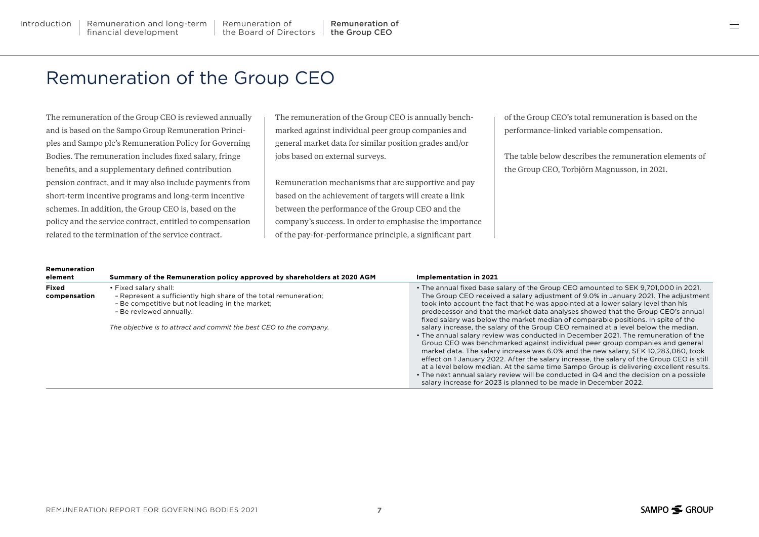## <span id="page-6-0"></span>Remuneration of the Group CEO

The remuneration of the Group CEO is reviewed annually and is based on the Sampo Group Remuneration Principles and Sampo plc's Remuneration Policy for Governing Bodies. The remuneration includes fixed salary, fringe benefits, and a supplementary defined contribution pension contract, and it may also include payments from short-term incentive programs and long-term incentive schemes. In addition, the Group CEO is, based on the policy and the service contract, entitled to compensation related to the termination of the service contract.

**Remuneration** 

The remuneration of the Group CEO is annually benchmarked against individual peer group companies and general market data for similar position grades and/or jobs based on external surveys.

Remuneration mechanisms that are supportive and pay based on the achievement of targets will create a link between the performance of the Group CEO and the company's success. In order to emphasise the importance of the pay-for-performance principle, a significant part

of the Group CEO's total remuneration is based on the performance-linked variable compensation.

The table below describes the remuneration elements of the Group CEO, Torbjörn Magnusson, in 2021.

| Remuneration<br>element | Summary of the Remuneration policy approved by shareholders at 2020 AGM                                                                                                 | Implementation in 2021                                                                                                                                                                                                                                                                                                                                                                                                                                                                                                                                                                                                                                                                               |
|-------------------------|-------------------------------------------------------------------------------------------------------------------------------------------------------------------------|------------------------------------------------------------------------------------------------------------------------------------------------------------------------------------------------------------------------------------------------------------------------------------------------------------------------------------------------------------------------------------------------------------------------------------------------------------------------------------------------------------------------------------------------------------------------------------------------------------------------------------------------------------------------------------------------------|
| Fixed<br>compensation   | • Fixed salary shall:<br>- Represent a sufficiently high share of the total remuneration;<br>- Be competitive but not leading in the market;<br>- Be reviewed annually. | • The annual fixed base salary of the Group CEO amounted to SEK 9,701,000 in 2021.<br>The Group CEO received a salary adjustment of 9.0% in January 2021. The adjustment<br>took into account the fact that he was appointed at a lower salary level than his<br>predecessor and that the market data analyses showed that the Group CEO's annual<br>fixed salary was below the market median of comparable positions. In spite of the                                                                                                                                                                                                                                                               |
|                         | The objective is to attract and commit the best CEO to the company.                                                                                                     | salary increase, the salary of the Group CEO remained at a level below the median.<br>• The annual salary review was conducted in December 2021. The remuneration of the<br>Group CEO was benchmarked against individual peer group companies and general<br>market data. The salary increase was 6.0% and the new salary. SEK 10.283.060, took<br>effect on 1 January 2022. After the salary increase, the salary of the Group CEO is still<br>at a level below median. At the same time Sampo Group is delivering excellent results.<br>• The next annual salary review will be conducted in Q4 and the decision on a possible<br>salary increase for 2023 is planned to be made in December 2022. |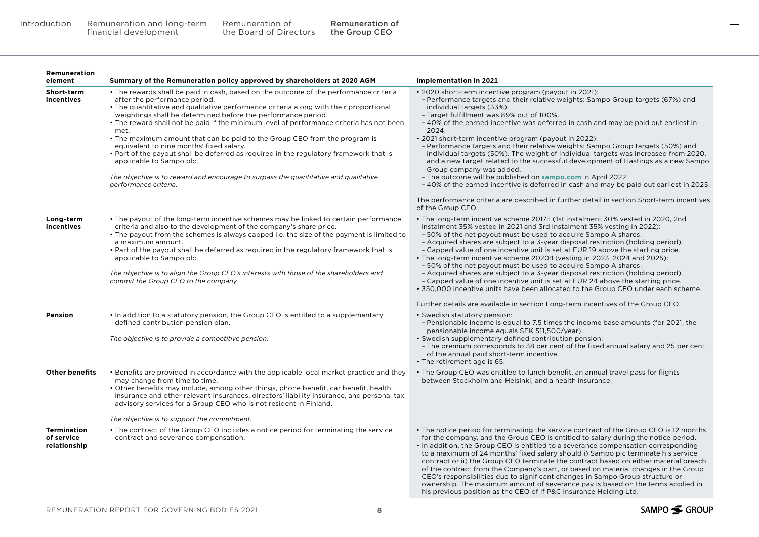#### **Remuneration element Summary of the Remuneration policy approved by shareholders at 2020 AGM Implementation in 2021 Short-term incentives** • The rewards shall be paid in cash, based on the outcome of the performance criteria after the performance period. • The quantitative and qualitative performance criteria along with their proportional weightings shall be determined before the performance period. • The reward shall not be paid if the minimum level of performance criteria has not been met. • The maximum amount that can be paid to the Group CEO from the program is equivalent to nine months' fixed salary. • Part of the payout shall be deferred as required in the regulatory framework that is applicable to Sampo plc. *The objective is to reward and encourage to surpass the quantitative and qualitative performance criteria.*  • 2020 short-term incentive program (payout in 2021): – Performance targets and their relative weights: Sampo Group targets (67%) and individual targets (33%). – Target fulfillment was 89% out of 100%. – 40% of the earned incentive was deferred in cash and may be paid out earliest in 2024. • 2021 short-term incentive program (payout in 2022): – Performance targets and their relative weights: Sampo Group targets (50%) and individual targets (50%). The weight of individual targets was increased from 2020, and a new target related to the successful development of Hastings as a new Sampo Group company was added. – The outcome will be published on **[sampo.com](https://www.sampo.com/governance/remuneration/group-ceo/)** in April 2022. – 40% of the earned incentive is deferred in cash and may be paid out earliest in 2025. The performance criteria are described in further detail in section Short-term incentives of the Group CEO. **Long-term incentives** • The payout of the long-term incentive schemes may be linked to certain performance criteria and also to the development of the company's share price. • The payout from the schemes is always capped i.e. the size of the payment is limited to a maximum amount. • Part of the payout shall be deferred as required in the regulatory framework that is applicable to Sampo plc. *The objective is to align the Group CEO's interests with those of the shareholders and commit the Group CEO to the company.* • The long-term incentive scheme 2017:1 (1st instalment 30% vested in 2020, 2nd instalment 35% vested in 2021 and 3rd instalment 35% vesting in 2022): – 50% of the net payout must be used to acquire Sampo A shares. – Acquired shares are subject to a 3-year disposal restriction (holding period). – Capped value of one incentive unit is set at EUR 19 above the starting price. • The long-term incentive scheme 2020:1 (vesting in 2023, 2024 and 2025): – 50% of the net payout must be used to acquire Sampo A shares. – Acquired shares are subject to a 3-year disposal restriction (holding period). – Capped value of one incentive unit is set at EUR 24 above the starting price. • 350,000 incentive units have been allocated to the Group CEO under each scheme. Further details are available in section Long-term incentives of the Group CEO. **Pension** • In addition to a statutory pension, the Group CEO is entitled to a supplementary defined contribution pension plan. *The objective is to provide a competitive pension.* • Swedish statutory pension: – Pensionable income is equal to 7.5 times the income base amounts (for 2021, the pensionable income equals SEK 511,500/year). • Swedish supplementary defined contribution pension: – The premium corresponds to 38 per cent of the fixed annual salary and 25 per cent of the annual paid short-term incentive. • The retirement age is 65. **Other benefits** • Benefits are provided in accordance with the applicable local market practice and they may change from time to time. • Other benefits may include, among other things, phone benefit, car benefit, health insurance and other relevant insurances, directors' liability insurance, and personal tax advisory services for a Group CEO who is not resident in Finland. *The objective is to support the commitment.* • The Group CEO was entitled to lunch benefit, an annual travel pass for flights between Stockholm and Helsinki, and a health insurance. **Termination of service relationship** • The contract of the Group CEO includes a notice period for terminating the service contract and severance compensation. • The notice period for terminating the service contract of the Group CEO is 12 months for the company, and the Group CEO is entitled to salary during the notice period. • In addition, the Group CEO is entitled to a severance compensation corresponding to a maximum of 24 months' fixed salary should i) Sampo plc terminate his service contract or ii) the Group CEO terminate the contract based on either material breach of the contract from the Company's part, or based on material changes in the Group CEO's responsibilities due to significant changes in Sampo Group structure or ownership. The maximum amount of severance pay is based on the terms applied in his previous position as the CEO of If P&C Insurance Holding Ltd.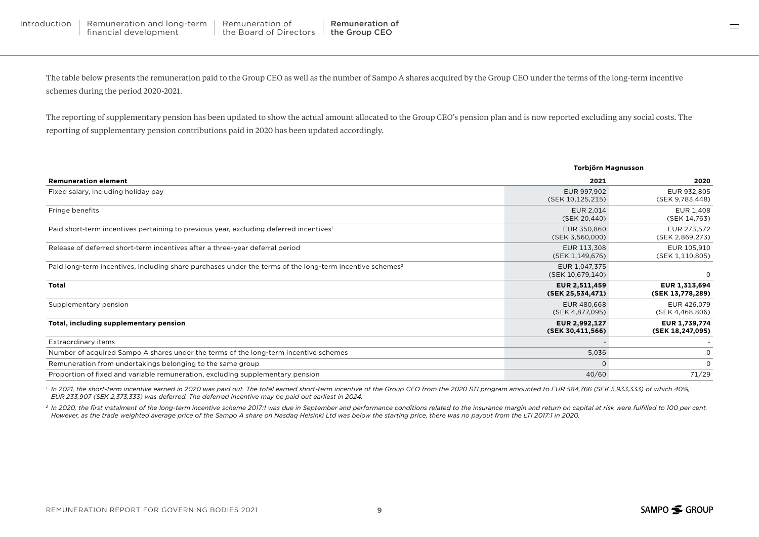The table below presents the remuneration paid to the Group CEO as well as the number of Sampo A shares acquired by the Group CEO under the terms of the long-term incentive schemes during the period 2020-2021.

The reporting of supplementary pension has been updated to show the actual amount allocated to the Group CEO's pension plan and is now reported excluding any social costs. The reporting of supplementary pension contributions paid in 2020 has been updated accordingly.

|                                                                                                                      |                                   | Torbjörn Magnusson                |  |  |  |  |
|----------------------------------------------------------------------------------------------------------------------|-----------------------------------|-----------------------------------|--|--|--|--|
| <b>Remuneration element</b>                                                                                          | 2021                              | 2020                              |  |  |  |  |
| Fixed salary, including holiday pay                                                                                  | EUR 997,902<br>(SEK 10,125,215)   | EUR 932,805<br>(SEK 9,783,448)    |  |  |  |  |
| Fringe benefits                                                                                                      | EUR 2,014<br>(SEK 20,440)         | EUR 1,408<br>(SEK 14,763)         |  |  |  |  |
| Paid short-term incentives pertaining to previous year, excluding deferred incentives'                               | EUR 350,860<br>(SEK 3,560,000)    | EUR 273,572<br>(SEK 2,869,273)    |  |  |  |  |
| Release of deferred short-term incentives after a three-year deferral period                                         | EUR 113,308<br>(SEK 1,149,676)    | EUR 105,910<br>(SEK 1,110,805)    |  |  |  |  |
| Paid long-term incentives, including share purchases under the terms of the long-term incentive schemes <sup>2</sup> | EUR 1,047,375<br>(SEK 10,679,140) | $\Omega$                          |  |  |  |  |
| <b>Total</b>                                                                                                         | EUR 2,511,459<br>(SEK 25,534,471) | EUR 1,313,694<br>(SEK 13,778,289) |  |  |  |  |
| Supplementary pension                                                                                                | EUR 480,668<br>(SEK 4,877,095)    | EUR 426,079<br>(SEK 4,468,806)    |  |  |  |  |
| Total, including supplementary pension                                                                               | EUR 2,992,127<br>(SEK 30,411,566) | EUR 1,739,774<br>(SEK 18,247,095) |  |  |  |  |
| Extraordinary items                                                                                                  |                                   |                                   |  |  |  |  |
| Number of acquired Sampo A shares under the terms of the long-term incentive schemes                                 | 5,036                             | $\Omega$                          |  |  |  |  |
| Remuneration from undertakings belonging to the same group                                                           | 0                                 | $\Omega$                          |  |  |  |  |
| Proportion of fixed and variable remuneration, excluding supplementary pension                                       | 40/60                             | 71/29                             |  |  |  |  |

<sup>1</sup> In 2021, the short-term incentive earned in 2020 was paid out. The total earned short-term incentive of the Group CEO from the 2020 STI program amounted to EUR 584,766 (SEK 5,933,333) of which 40%, *EUR 233,907 (SEK 2,373,333) was deferred. The deferred incentive may be paid out earliest in 2024.*

<sup>2</sup> In 2020, the first instalment of the long-term incentive scheme 2017:1 was due in September and performance conditions related to the insurance margin and return on capital at risk were fulfilled to 100 per cent. *However, as the trade weighted average price of the Sampo A share on Nasdaq Helsinki Ltd was below the starting price, there was no payout from the LTI 2017:1 in 2020.*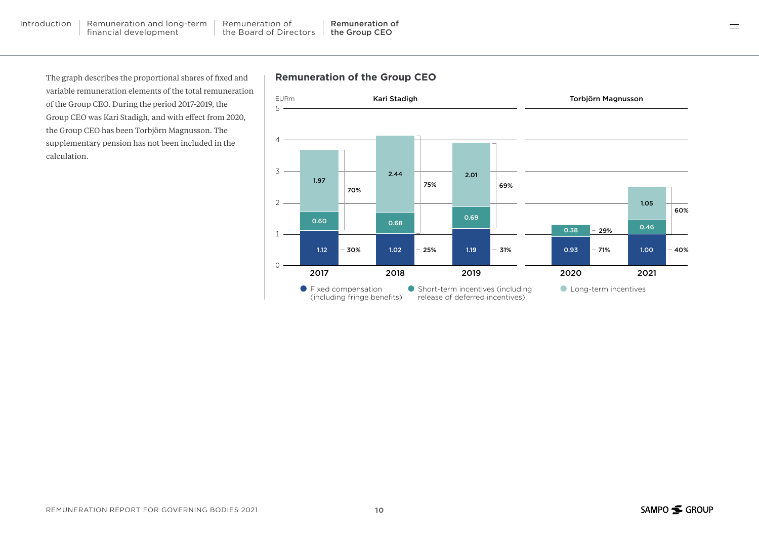The graph describes the proportional shares of fixed and variable remuneration elements of the total remuneration of the Group CEO. During the period 2017-2019, the Group CEO was Kari Stadigh, and with effect from 2020, the Group CEO has been Torbjörn Magnusson. The supplementary pension has not been included in the calculation.

### **Remuneration of the Group CEO**

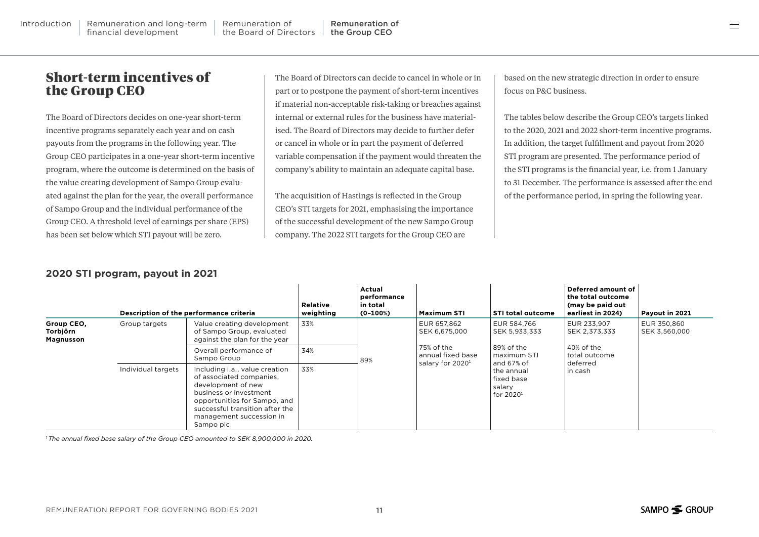financial development

The Board of Directors decides on one-year short-term incentive programs separately each year and on cash payouts from the programs in the following year. The Group CEO participates in a one-year short-term incentive program, where the outcome is determined on the basis of the value creating development of Sampo Group evaluated against the plan for the year, the overall performance of Sampo Group and the individual performance of the Group CEO. A threshold level of earnings per share (EPS) has been set below which STI payout will be zero.

Introduction | [Remuneration and long-term](#page-2-0) | Remuneration of

[the Board of Directors](#page-4-0)

The Board of Directors can decide to cancel in whole or in part or to postpone the payment of short-term incentives if material non-acceptable risk-taking or breaches against internal or external rules for the business have materialised. The Board of Directors may decide to further defer or cancel in whole or in part the payment of deferred variable compensation if the payment would threaten the company's ability to maintain an adequate capital base.

[Remuneration of](#page-6-0) the Group CEO

The acquisition of Hastings is reflected in the Group CEO's STI targets for 2021, emphasising the importance of the successful development of the new Sampo Group company. The 2022 STI targets for the Group CEO are

based on the new strategic direction in order to ensure focus on P&C business.

 $=$ 

The tables below describe the Group CEO's targets linked to the 2020, 2021 and 2022 short-term incentive programs. In addition, the target fulfillment and payout from 2020 STI program are presented. The performance period of the STI programs is the financial year, i.e. from 1 January to 31 December. The performance is assessed after the end of the performance period, in spring the following year.

|  | 2020 STI program, payout in 2021 |  |  |  |
|--|----------------------------------|--|--|--|
|--|----------------------------------|--|--|--|

|                                     |                    | Description of the performance criteria                                                                                                                                                                                | <b>Relative</b><br>weighting | Actual<br>performance<br>in total<br>$(0-100%)$ | <b>Maximum STI</b>                                                                              | <b>STI total outcome</b>                                                                                                     | Deferred amount of<br>the total outcome<br>(may be paid out<br>earliest in 2024) | Payout in 2021               |
|-------------------------------------|--------------------|------------------------------------------------------------------------------------------------------------------------------------------------------------------------------------------------------------------------|------------------------------|-------------------------------------------------|-------------------------------------------------------------------------------------------------|------------------------------------------------------------------------------------------------------------------------------|----------------------------------------------------------------------------------|------------------------------|
| Group CEO,<br>Torbjörn<br>Magnusson | Group targets      | Value creating development<br>of Sampo Group, evaluated<br>against the plan for the year                                                                                                                               | 33%                          | 89%                                             | EUR 657.862<br>SEK 6,675,000<br>75% of the<br>annual fixed base<br>salary for 2020 <sup>1</sup> | EUR 584.766<br>SEK 5,933,333<br>89% of the<br>maximum STI<br>and 67% of<br>the annual<br>fixed base<br>salary<br>for $20201$ | EUR 233.907<br>SEK 2,373,333                                                     | EUR 350.860<br>SEK 3,560,000 |
|                                     |                    | Overall performance of<br>Sampo Group                                                                                                                                                                                  | 34%                          |                                                 |                                                                                                 |                                                                                                                              | 40% of the<br>total outcome<br>deferred<br>in cash                               |                              |
|                                     | Individual targets | Including i.a., value creation<br>of associated companies.<br>development of new<br>business or investment<br>opportunities for Sampo, and<br>successful transition after the<br>management succession in<br>Sampo plc | 33%                          |                                                 |                                                                                                 |                                                                                                                              |                                                                                  |                              |

*1 The annual fixed base salary of the Group CEO amounted to SEK 8,900,000 in 2020.*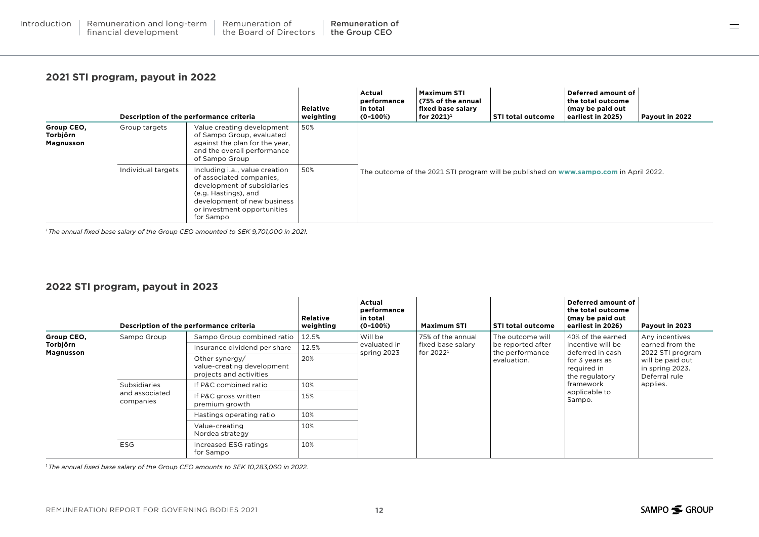### **2021 STI program, payout in 2022**

|                                     |                    | Description of the performance criteria                                                                                                                                                      | <b>Relative</b><br>weighting | Actual<br>performance<br>in total<br>$(0-100%)$ | <b>Maximum STI</b><br>(75% of the annual<br>fixed base salarv<br>$ $ for 2021) $^1$ | <b>STI total outcome</b>                                                              | Deferred amount of<br>the total outcome<br>(may be paid out<br>earliest in 2025) | Payout in 2022 |
|-------------------------------------|--------------------|----------------------------------------------------------------------------------------------------------------------------------------------------------------------------------------------|------------------------------|-------------------------------------------------|-------------------------------------------------------------------------------------|---------------------------------------------------------------------------------------|----------------------------------------------------------------------------------|----------------|
| Group CEO,<br>Torbjörn<br>Magnusson | Group targets      | Value creating development<br>of Sampo Group, evaluated<br>against the plan for the year,<br>and the overall performance<br>of Sampo Group                                                   | 50%                          |                                                 |                                                                                     |                                                                                       |                                                                                  |                |
|                                     | Individual targets | Including i.a., value creation<br>of associated companies.<br>development of subsidiaries<br>(e.g. Hastings), and<br>development of new business<br>or investment opportunities<br>for Sampo | 50%                          |                                                 |                                                                                     | The outcome of the 2021 STI program will be published on www.sampo.com in April 2022. |                                                                                  |                |

*1 The annual fixed base salary of the Group CEO amounted to SEK 9,701,000 in 2021.*

### **2022 STI program, payout in 2023**

|            |                             | Description of the performance criteria                                 | <b>Relative</b><br>weighting | Actual<br>performance<br>in total<br>$(0-100%)$ | Maximum STI                       | <b>STI total outcome</b>                            | Deferred amount of<br>the total outcome<br>(may be paid out<br>earliest in 2026)                                                 | Payout in 2023                                                                                                            |
|------------|-----------------------------|-------------------------------------------------------------------------|------------------------------|-------------------------------------------------|-----------------------------------|-----------------------------------------------------|----------------------------------------------------------------------------------------------------------------------------------|---------------------------------------------------------------------------------------------------------------------------|
| Group CEO, | Sampo Group                 | Sampo Group combined ratio                                              | 12.5%                        | Will be<br>evaluated in<br>spring 2023          | 75% of the annual                 | The outcome will                                    | 40% of the earned                                                                                                                | Any incentives<br>earned from the<br>2022 STI program<br>will be paid out<br>in spring 2023.<br>Deferral rule<br>applies. |
| Torbjörn   |                             | Insurance dividend per share                                            | 12.5%                        |                                                 | fixed base salary<br>for $2022^1$ | be reported after<br>the performance<br>evaluation. | incentive will be<br>deferred in cash<br>for 3 years as<br>required in<br>the regulatory<br>framework<br>applicable to<br>Sampo. |                                                                                                                           |
| Magnusson  |                             | Other synergy/<br>value-creating development<br>projects and activities | 20%                          |                                                 |                                   |                                                     |                                                                                                                                  |                                                                                                                           |
|            | <b>Subsidiaries</b>         | If P&C combined ratio                                                   | 10%                          |                                                 |                                   |                                                     |                                                                                                                                  |                                                                                                                           |
|            | and associated<br>companies | If P&C gross written<br>premium growth                                  | 15%                          |                                                 |                                   |                                                     |                                                                                                                                  |                                                                                                                           |
|            |                             | Hastings operating ratio                                                | 10%                          |                                                 |                                   |                                                     |                                                                                                                                  |                                                                                                                           |
|            |                             | Value-creating<br>Nordea strategy                                       | 10%                          |                                                 |                                   |                                                     |                                                                                                                                  |                                                                                                                           |
|            | <b>ESG</b>                  | Increased ESG ratings<br>for Sampo                                      | 10%                          |                                                 |                                   |                                                     |                                                                                                                                  |                                                                                                                           |

*1 The annual fixed base salary of the Group CEO amounts to SEK 10,283,060 in 2022.*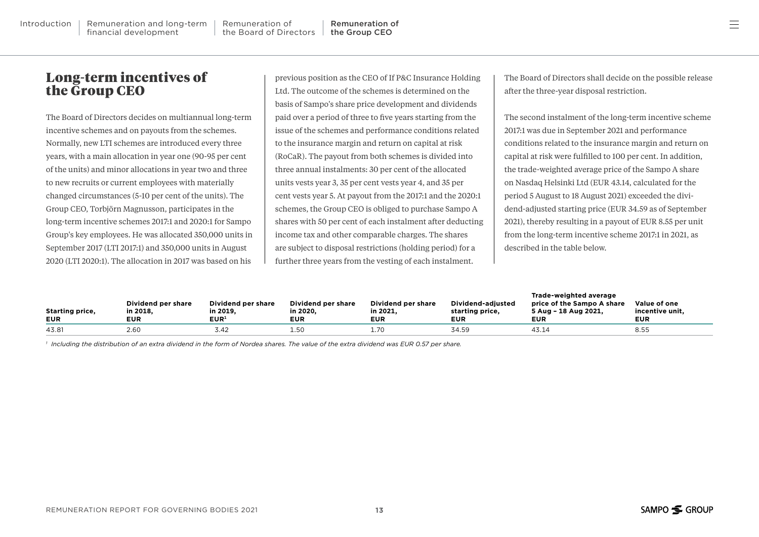### Long-term incentives of the Group CEO

The Board of Directors decides on multiannual long-term incentive schemes and on payouts from the schemes. Normally, new LTI schemes are introduced every three years, with a main allocation in year one (90-95 per cent of the units) and minor allocations in year two and three to new recruits or current employees with materially changed circumstances (5-10 per cent of the units). The Group CEO, Torbjörn Magnusson, participates in the long-term incentive schemes 2017:1 and 2020:1 for Sampo Group's key employees. He was allocated 350,000 units in September 2017 (LTI 2017:1) and 350,000 units in August 2020 (LTI 2020:1). The allocation in 2017 was based on his

previous position as the CEO of If P&C Insurance Holding Ltd. The outcome of the schemes is determined on the basis of Sampo's share price development and dividends paid over a period of three to five years starting from the issue of the schemes and performance conditions related to the insurance margin and return on capital at risk (RoCaR). The payout from both schemes is divided into three annual instalments: 30 per cent of the allocated units vests year 3, 35 per cent vests year 4, and 35 per cent vests year 5. At payout from the 2017:1 and the 2020:1 schemes, the Group CEO is obliged to purchase Sampo A shares with 50 per cent of each instalment after deducting income tax and other comparable charges. The shares are subject to disposal restrictions (holding period) for a further three years from the vesting of each instalment.

The Board of Directors shall decide on the possible release after the three-year disposal restriction.

The second instalment of the long-term incentive scheme 2017:1 was due in September 2021 and performance conditions related to the insurance margin and return on capital at risk were fulfilled to 100 per cent. In addition, the trade-weighted average price of the Sampo A share on Nasdaq Helsinki Ltd (EUR 43.14, calculated for the period 5 August to 18 August 2021) exceeded the dividend-adjusted starting price (EUR 34.59 as of September 2021), thereby resulting in a payout of EUR 8.55 per unit from the long-term incentive scheme 2017:1 in 2021, as described in the table below.

| <b>Starting price,</b><br><b>EUR</b> | Dividend per share<br>in 2018.<br><b>EUR</b> | Dividend per share<br>in 2019.<br>$\mathsf{EUR}^\mathsf{1}$ | Dividend per share<br>in 2020.<br><b>EUR</b> | Dividend per share<br>in 2021.<br><b>EUR</b> | Dividend-adiusted<br>starting price.<br><b>EUR</b> | Trade-weighted average<br>price of the Sampo A share<br>5 Aug - 18 Aug 2021.<br><b>EUR</b> | Value of one<br>incentive unit.<br><b>EUR</b> |
|--------------------------------------|----------------------------------------------|-------------------------------------------------------------|----------------------------------------------|----------------------------------------------|----------------------------------------------------|--------------------------------------------------------------------------------------------|-----------------------------------------------|
| 43.81                                | 2.60                                         | 3.42                                                        | 1.50                                         |                                              | 34.59                                              | 43.14                                                                                      | 8.55                                          |

*<sup>1</sup> Including the distribution of an extra dividend in the form of Nordea shares. The value of the extra dividend was EUR 0.57 per share.*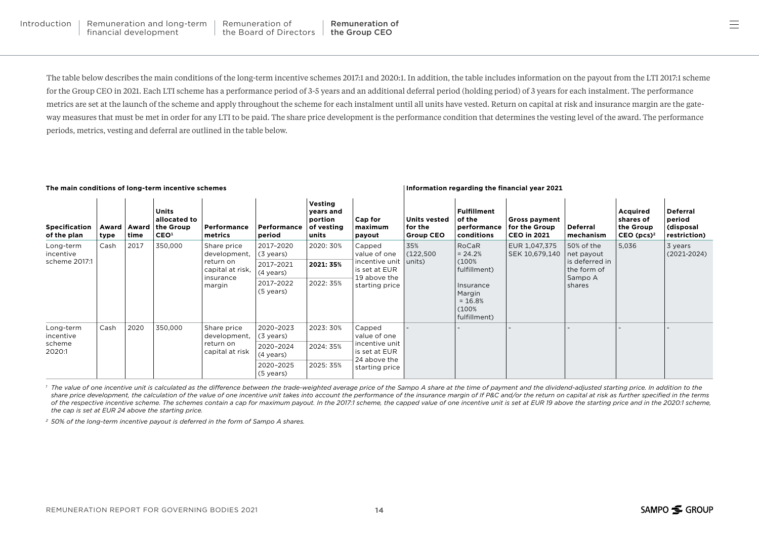The table below describes the main conditions of the long-term incentive schemes 2017:1 and 2020:1. In addition, the table includes information on the payout from the LTI 2017:1 scheme for the Group CEO in 2021. Each LTI scheme has a performance period of 3-5 years and an additional deferral period (holding period) of 3 years for each instalment. The performance metrics are set at the launch of the scheme and apply throughout the scheme for each instalment until all units have vested. Return on capital at risk and insurance margin are the gateway measures that must be met in order for any LTI to be paid. The share price development is the performance condition that determines the vesting level of the award. The performance periods, metrics, vesting and deferral are outlined in the table below.

#### **The main conditions of long-term incentive schemes Information regarding the financial year 2021**

| <b>Specification</b><br>of the plan        | Award  <br>type | Award<br>time | <b>Units</b><br>allocated to<br>the Group<br>CEO <sup>1</sup> | Performance<br>metrics                                                              | Performance<br>period  | Vesting<br>years and<br>portion<br>of vesting<br>units | Cap for<br>maximum<br>payout                                                                | <b>Units vested</b><br>for the<br><b>Group CEO</b> | <b>Fulfillment</b><br>of the<br>performance<br>conditions                                                | Gross payment<br>for the Group<br><b>CEO in 2021</b> | <b>Deferral</b><br>mechanism                                                   | Acquired<br>shares of<br>the Group<br>$CEO$ (pcs) <sup>2</sup> | <b>Deferral</b><br>period<br>(disposal<br>restriction) |
|--------------------------------------------|-----------------|---------------|---------------------------------------------------------------|-------------------------------------------------------------------------------------|------------------------|--------------------------------------------------------|---------------------------------------------------------------------------------------------|----------------------------------------------------|----------------------------------------------------------------------------------------------------------|------------------------------------------------------|--------------------------------------------------------------------------------|----------------------------------------------------------------|--------------------------------------------------------|
| Long-term<br>incentive<br>scheme 2017:1    | Cash            | 2017          | 350,000                                                       | Share price<br>development,<br>return on<br>capital at risk,<br>insurance<br>margin | 2017-2020<br>(3 years) | 2020: 30%                                              | Capped<br>value of one<br>incentive unit<br>is set at EUR<br>19 above the<br>starting price | 35%<br>(122,500)<br>units)                         | RoCaR<br>$= 24.2%$<br>(100%<br>fulfillment)<br>Insurance<br>Margin<br>$= 16.8%$<br>(100%<br>fulfillment) | EUR 1,047,375<br>SEK 10,679,140                      | 50% of the<br>net payout<br>is deferred in<br>the form of<br>Sampo A<br>shares | 5,036                                                          | 3 years<br>$(2021 - 2024)$                             |
|                                            |                 |               |                                                               |                                                                                     | 2017-2021<br>(4 years) | 2021: 35%                                              |                                                                                             |                                                    |                                                                                                          |                                                      |                                                                                |                                                                |                                                        |
|                                            |                 |               |                                                               |                                                                                     | 2017-2022<br>(5 years) | 2022: 35%                                              |                                                                                             |                                                    |                                                                                                          |                                                      |                                                                                |                                                                |                                                        |
| Long-term<br>incentive<br>scheme<br>2020:1 | Cash            | 2020          | 350,000                                                       | Share price<br>development,<br>return on<br>capital at risk                         | 2020-2023<br>(3 years) | 2023: 30%                                              | Capped<br>value of one<br>incentive unit<br>is set at EUR<br>24 above the<br>starting price |                                                    |                                                                                                          |                                                      |                                                                                |                                                                |                                                        |
|                                            |                 |               |                                                               |                                                                                     | 2020-2024<br>(4 years) | 2024: 35%                                              |                                                                                             |                                                    |                                                                                                          |                                                      |                                                                                |                                                                |                                                        |
|                                            |                 |               |                                                               |                                                                                     | 2020-2025<br>(5 years) | 2025: 35%                                              |                                                                                             |                                                    |                                                                                                          |                                                      |                                                                                |                                                                |                                                        |

<sup>1</sup> The value of one incentive unit is calculated as the difference between the trade-weighted average price of the Sampo A share at the time of payment and the dividend-adjusted starting price. In addition to the share price development, the calculation of the value of one incentive unit takes into account the performance of the insurance margin of If P&C and/or the return on capital at risk as further specified in the terms of the respective incentive scheme. The schemes contain a cap for maximum payout. In the 2017:1 scheme, the capped value of one incentive unit is set at EUR 19 above the starting price and in the 2020:1 scheme, *the cap is set at EUR 24 above the starting price.*

*<sup>2</sup> 50% of the long-term incentive payout is deferred in the form of Sampo A shares.*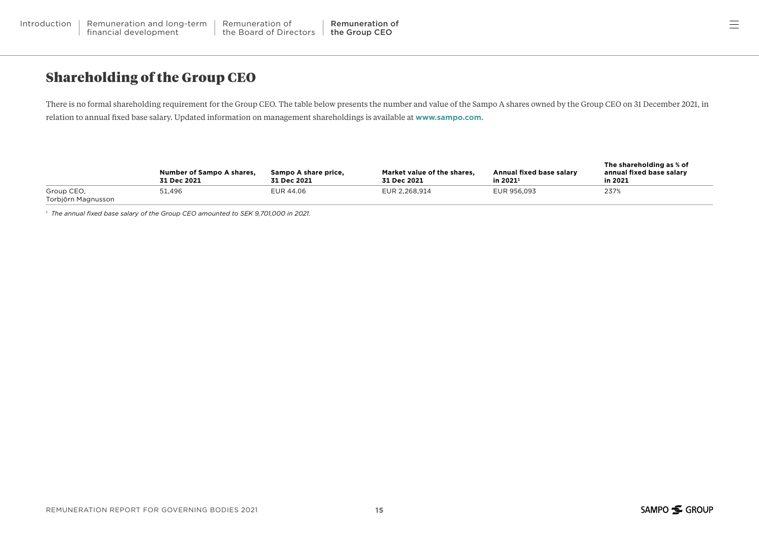### Shareholding of the Group CEO

There is no formal shareholding requirement for the Group CEO. The table below presents the number and value of the Sampo A shares owned by the Group CEO on 31 December 2021, in relation to annual fixed base salary. Updated information on management shareholdings is available at **[www.sampo.com](https://www.sampo.com/investors/shareholders/management-shareholdings/)**.

|                                  | <b>Number of Sampo A shares.</b><br>31 Dec 2021 | Sampo A share price,<br>31 Dec 2021 | Market value of the shares.<br>31 Dec 2021 | Annual fixed base salary<br>in 2021 <sup>1</sup> | The shareholding as % of<br>annual fixed base salary<br>in 2021 |
|----------------------------------|-------------------------------------------------|-------------------------------------|--------------------------------------------|--------------------------------------------------|-----------------------------------------------------------------|
| Group CEO,<br>Torbjörn Magnusson | 51.496                                          | EUR 44.06                           | EUR 2.268.914                              | EUR 956.093                                      | 237%                                                            |

*1 The annual fixed base salary of the Group CEO amounted to SEK 9,701,000 in 2021.*